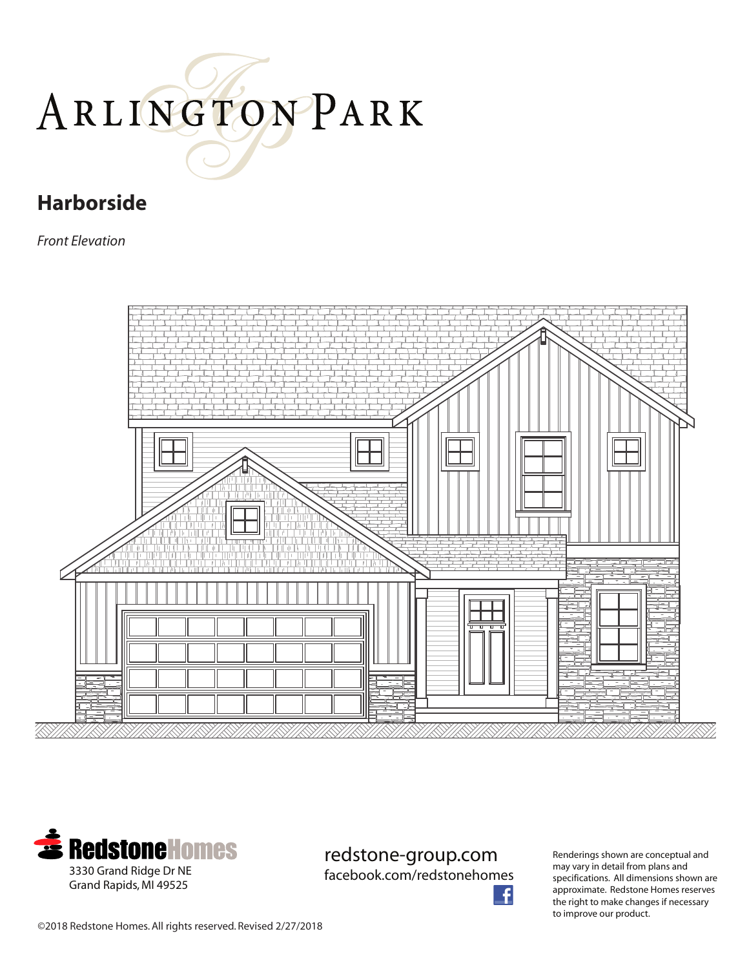# ARLINGTONPARK

### **Harborside**

*Front Elevation*





redstone-group.com

facebook.com/redstonehomes

Renderings shown are conceptual and may vary in detail from plans and specifications. All dimensions shown are approximate. Redstone Homes reserves the right to make changes if necessary to improve our product.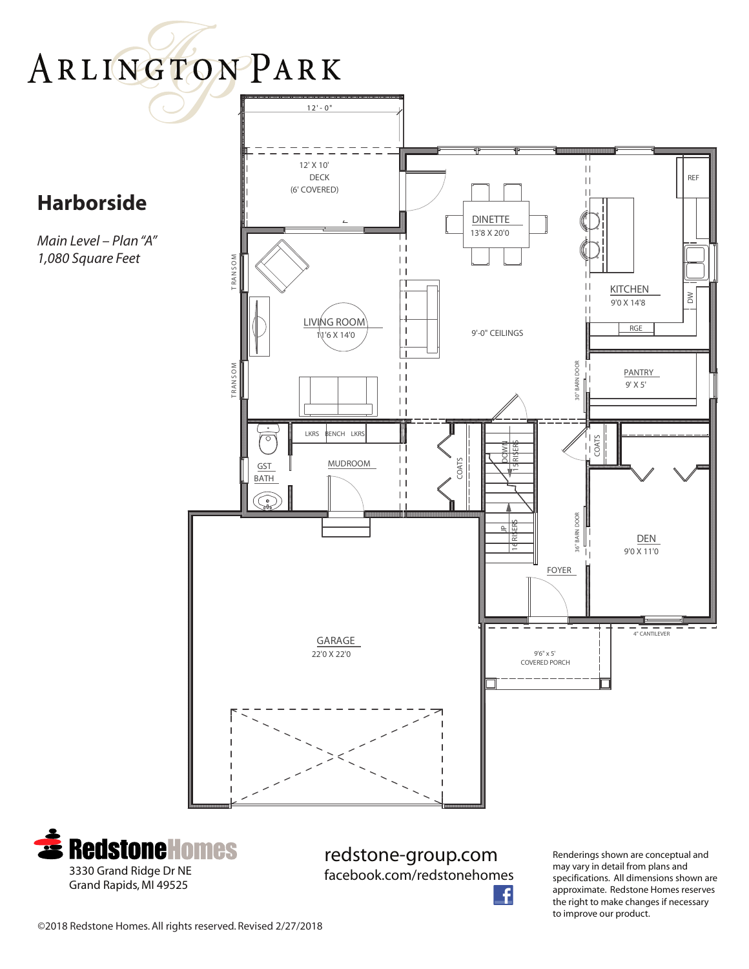



redstone-group.com facebook.com/redstonehomes

Renderings shown are conceptual and may vary in detail from plans and specifications. All dimensions shown are approximate. Redstone Homes reserves the right to make changes if necessary to improve our product.

©2018 Redstone Homes. All rights reserved. Revised 2/27/2018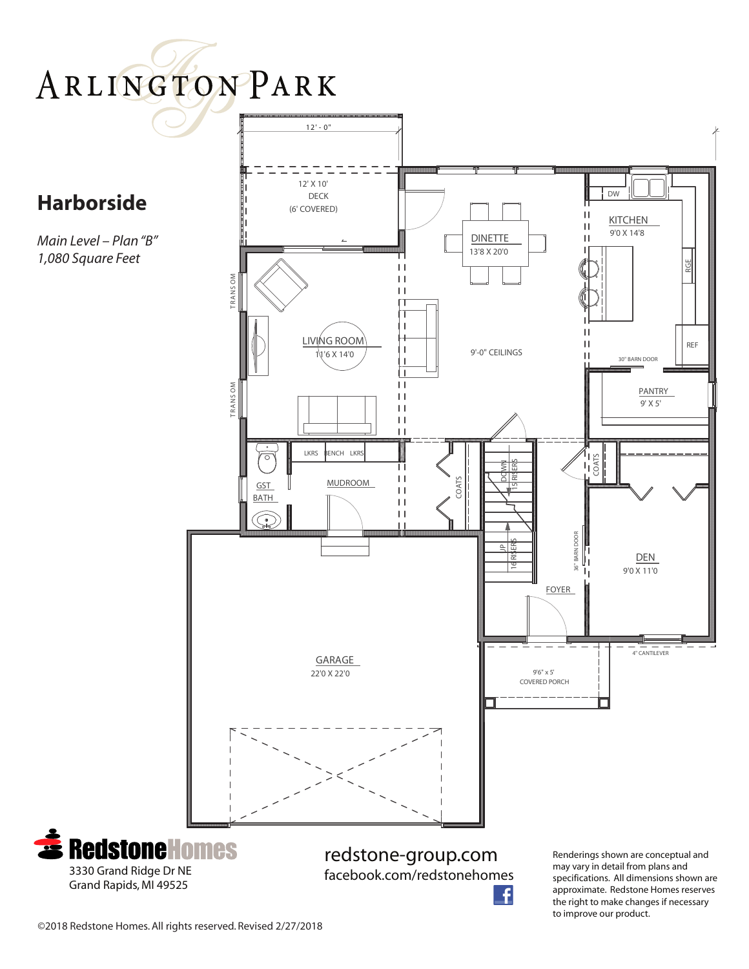## ARLINGTONPARK

### **Harborside**

*Main Level – Plan "B" 1,080 Square Feet*



the right to make changes if necessary

to improve our product.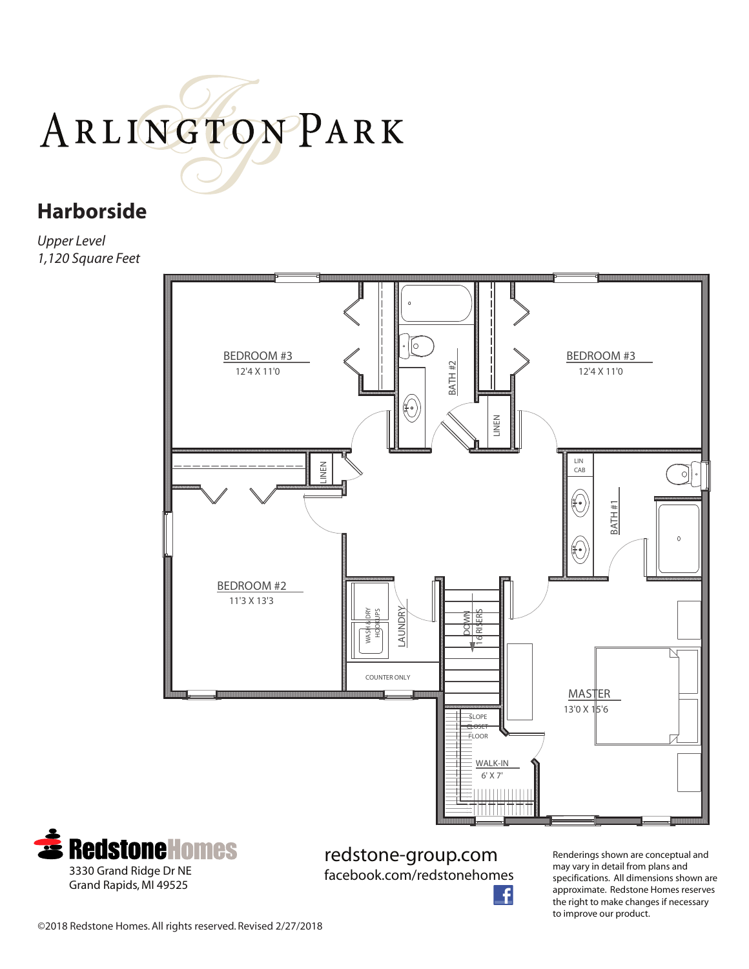# ARLINGTONPARK

#### **Harborside**

*Upper Level 1,120 Square Feet*



![](_page_3_Picture_4.jpeg)

redstone-group.com facebook.com/redstonehomes

Renderings shown are conceptual and may vary in detail from plans and specifications. All dimensions shown are approximate. Redstone Homes reserves the right to make changes if necessary to improve our product.